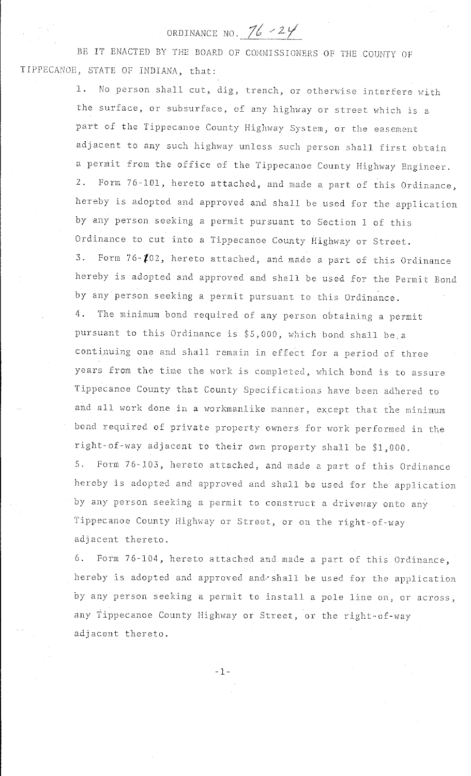# ORDINANCE NO. 76 - 24

BE IT ENACTED BY THE BOARD OF COMMISSIONERS OF THE COUNTY OF TIPPECANOE, STATE OF INDIANA, that:

> 1. No person shall cut, dig, trench, or otherwise interfere with the surface, or subsurface, of any highway or street which is a part of the Tippecanoe County Highway System, or the easement adjacent to any such highway unless such person shall first obtain a permit from the office of the Tippecanoe County Highway Engineer. 2. Form 76-101, hereto attached, and made a part of this Ordinance, hereby is adopted and approved and shall be used for the application by any person seeking a permit pursuant to Section 1 of this Ordinance to cut into a Tippecanoe County Highway or Street. 3. Form 76-102, hereto attached, and made a part of this Ordinance hereby is adopted and approved and shall be used for the Permit Bond by any person seeking a permit pursuant to this Ordinance. 4. The minimum bond required of any person obtaining a permit pursuant to this Ordinance is \$5,000, which bond shall be a continuing one and shall remain in effect for a period of three years from the time the work is completed, which bond is to assure Tippecanoe County that County Specifications have been adhered to and all work done in a workmanlike manner, except that the minimum bond required of private property owners for work performed in the right-of-way adjacent to their own property shall be \$1,000. 5. Form 76-103, hereto attached, and made a part of this Ordinance hereby is adopted and approved and shall be used for the application by any person seeking a permit to construct a driveway onto any Tippecanoe County Highway or Street, or on the right-of-way adjacent thereto.

> 6. Form 76-104, hereto attached and made a part of this Ordinance, hereby is adopted and approved and~shall be used for the application by any person seeking a permit to install a pole line on, or across, any Tippecanoe County Highway or Street, or the right-of-way adjacent thereto.

> > -1-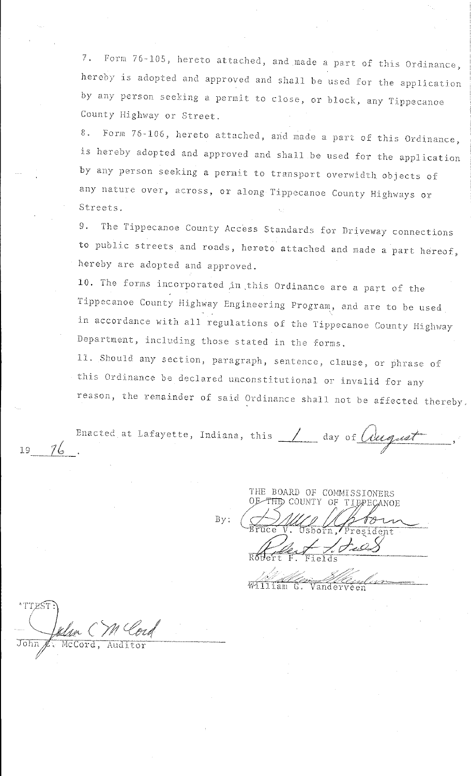7. Form 76-105, hereto attached, and made a part of this Ordinance, hereby is adopted and approved and shall be used for the application by any person seeking a permit to close, or block, any Tippecanoe County Highway or Street.

8. Form 76-106, hereto attached, and made a part of this Ordinance, is hereby adopted and approved and shall be used for the application by any person seeking a permit to transport overwidth objects of any nature over, across, or along Tippecanoe County Highways or Streets.

9. The Tippecanoe County Access Standards for Driveway connections to public streets and roads, hereto attached and made a part hereof, hereby are adopted and approved.

10. The forms incorporated jn .this Ordinance are a part of the Tippecanoe County Highway Engineering Program, and are to be used in accordance with all regulations of the Tippecanoe County Highway Department, including those stated in the forms.

LL. Should any section, paragraph, sentence, clause, or phrase of this Ordinance be declared unconstitutional or invalid for any reason, the remainder of said Ordinance shall not be affected thereby.

Enacted Bnacted at Lafayette, Indiana, this 19 day of August

By:

THE BOARD OF COMMISSIONERS<br>OF THE COUNTY OF TIPPECANO THE BOARD OF COMMISSIONERS<br>OF THE COUNTY OF TIPPECANOE  $\overline{\text{ruce}}$   $N$ . Usborn,  $\overline{\phantom{a}}$ )/1#/;J \_ *\_tt,*  $\sqrt{P}\sqrt{1-P}$ ISSIONERS<br> **TIPPECANOE**<br>
President Sterf F. Fields

Vander

 $^{\circ}$  TTEST  $\left($ Julia CM Cord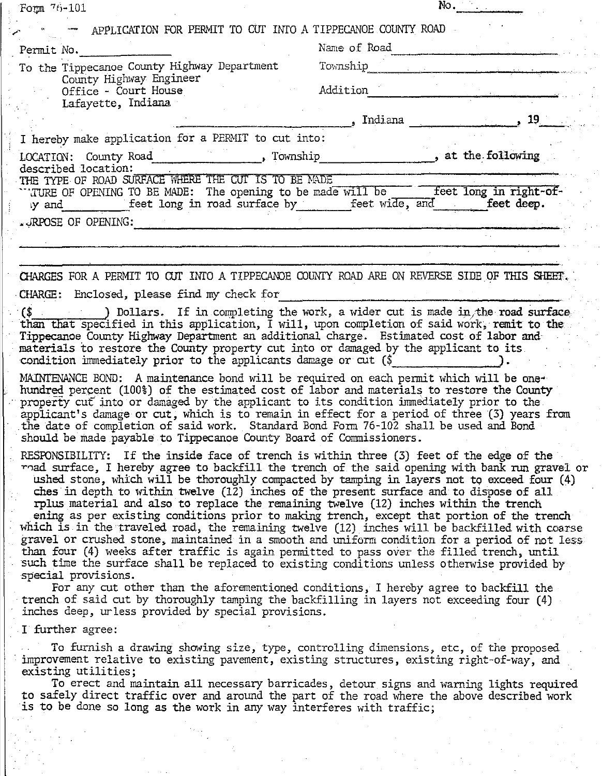| Form 76-101                                                                                                                                                                                                                                                                                                                                                                                                                                                                                                                                                                                                                                                                                                                                                                                                                                                                                     | No.                                                                                                                                                                                                                                                                                   |
|-------------------------------------------------------------------------------------------------------------------------------------------------------------------------------------------------------------------------------------------------------------------------------------------------------------------------------------------------------------------------------------------------------------------------------------------------------------------------------------------------------------------------------------------------------------------------------------------------------------------------------------------------------------------------------------------------------------------------------------------------------------------------------------------------------------------------------------------------------------------------------------------------|---------------------------------------------------------------------------------------------------------------------------------------------------------------------------------------------------------------------------------------------------------------------------------------|
| APPLICATION FOR PERMIT TO CUT INTO A TIPPECANOE COUNTY ROAD                                                                                                                                                                                                                                                                                                                                                                                                                                                                                                                                                                                                                                                                                                                                                                                                                                     |                                                                                                                                                                                                                                                                                       |
| Permit No.                                                                                                                                                                                                                                                                                                                                                                                                                                                                                                                                                                                                                                                                                                                                                                                                                                                                                      | Name of Road                                                                                                                                                                                                                                                                          |
| To the Tippecanoe County Highway Department                                                                                                                                                                                                                                                                                                                                                                                                                                                                                                                                                                                                                                                                                                                                                                                                                                                     | Township                                                                                                                                                                                                                                                                              |
| County Highway Engineer<br>Office - Court House                                                                                                                                                                                                                                                                                                                                                                                                                                                                                                                                                                                                                                                                                                                                                                                                                                                 | Addition                                                                                                                                                                                                                                                                              |
| Lafayette, Indiana                                                                                                                                                                                                                                                                                                                                                                                                                                                                                                                                                                                                                                                                                                                                                                                                                                                                              |                                                                                                                                                                                                                                                                                       |
|                                                                                                                                                                                                                                                                                                                                                                                                                                                                                                                                                                                                                                                                                                                                                                                                                                                                                                 | , Indiana 19                                                                                                                                                                                                                                                                          |
| I hereby make application for a PERMIT to cut into:                                                                                                                                                                                                                                                                                                                                                                                                                                                                                                                                                                                                                                                                                                                                                                                                                                             |                                                                                                                                                                                                                                                                                       |
| described location:                                                                                                                                                                                                                                                                                                                                                                                                                                                                                                                                                                                                                                                                                                                                                                                                                                                                             |                                                                                                                                                                                                                                                                                       |
| THE TYPE OF ROAD SURFACE WHERE THE CUT IS TO BE MADE<br>TURE OF OPENING TO BE MADE: The opening to be made will be feet long in right-of-<br>ly and feet long in road surface by feet wide, and feet deep.                                                                                                                                                                                                                                                                                                                                                                                                                                                                                                                                                                                                                                                                                      |                                                                                                                                                                                                                                                                                       |
| .JRPOSE OF OPENING:                                                                                                                                                                                                                                                                                                                                                                                                                                                                                                                                                                                                                                                                                                                                                                                                                                                                             |                                                                                                                                                                                                                                                                                       |
|                                                                                                                                                                                                                                                                                                                                                                                                                                                                                                                                                                                                                                                                                                                                                                                                                                                                                                 |                                                                                                                                                                                                                                                                                       |
| CHARGES FOR A PERMIT TO CUT INTO A TIPPECANOE COUNTY ROAD ARE ON REVERSE SIDE OF THIS SHEET.                                                                                                                                                                                                                                                                                                                                                                                                                                                                                                                                                                                                                                                                                                                                                                                                    |                                                                                                                                                                                                                                                                                       |
| CHARGE: Enclosed, please find my check for                                                                                                                                                                                                                                                                                                                                                                                                                                                                                                                                                                                                                                                                                                                                                                                                                                                      |                                                                                                                                                                                                                                                                                       |
| $(\text{\$}$ (\$) Dollars. If in completing the work, a wider cut is made in the road surface<br>than that specified in this application, I will, upon completion of said work, remit to the<br>Tippecanoe County Highway Department an additional charge. Estimated cost of labor and<br>materials to restore the County property cut into or damaged by the applicant to its<br>condition immediately prior to the applicants damage or cut $(\$$                                                                                                                                                                                                                                                                                                                                                                                                                                             |                                                                                                                                                                                                                                                                                       |
| MAINTENANCE BOND: A maintenance bond will be required on each permit which will be one-<br>hundred percent (100%) of the estimated cost of labor and materials to restore the County<br>property cut into or damaged by the applicant to its condition immediately prior to the<br>applicant's damage or cut, which is to remain in effect for a period of three (3) years from<br>the date of completion of said work. Standard Bond Form 76-102 shall be used and Bond<br>should be made payable to Tippecanoe County Board of Commissioners.                                                                                                                                                                                                                                                                                                                                                 |                                                                                                                                                                                                                                                                                       |
| RESPONSIBILITY: If the inside face of trench is within three (3) feet of the edge of the<br>ches in depth to within twelve (12) inches of the present surface and to dispose of all<br>rplus material and also to replace the remaining twelve (12) inches within the trench<br>ening as per existing conditions prior to making trench, except that portion of the trench<br>which is in the traveled road, the remaining twelve (12) inches will be backfilled with coarse<br>gravel or crushed stone, maintained in a smooth and uniform condition for a period of not less<br>than four (4) weeks after traffic is again permitted to pass over the filled trench, until<br>such time the surface shall be replaced to existing conditions unless otherwise provided by<br>special provisions.<br>trench of said cut by thoroughly tamping the backfilling in layers not exceeding four (4) | mad surface, I hereby agree to backfill the trench of the said opening with bank run gravel or<br>ushed stone, which will be thoroughly compacted by tamping in layers not to exceed four (4)<br>For any cut other than the aforementioned conditions, I hereby agree to backfill the |
| inches deep, urless provided by special provisions.                                                                                                                                                                                                                                                                                                                                                                                                                                                                                                                                                                                                                                                                                                                                                                                                                                             |                                                                                                                                                                                                                                                                                       |
| I further agree:                                                                                                                                                                                                                                                                                                                                                                                                                                                                                                                                                                                                                                                                                                                                                                                                                                                                                |                                                                                                                                                                                                                                                                                       |
| improvement relative to existing pavement, existing structures, existing right-of-way, and<br>existing utilities;<br>to safely direct traffic over and around the part of the road where the above described work<br>is to be done so long as the work in any way interferes with traffic;                                                                                                                                                                                                                                                                                                                                                                                                                                                                                                                                                                                                      | To furnish a drawing showing size, type, controlling dimensions, etc, of the proposed<br>To erect and maintain all necessary barricades, detour signs and warning lights required                                                                                                     |
|                                                                                                                                                                                                                                                                                                                                                                                                                                                                                                                                                                                                                                                                                                                                                                                                                                                                                                 |                                                                                                                                                                                                                                                                                       |
|                                                                                                                                                                                                                                                                                                                                                                                                                                                                                                                                                                                                                                                                                                                                                                                                                                                                                                 |                                                                                                                                                                                                                                                                                       |
|                                                                                                                                                                                                                                                                                                                                                                                                                                                                                                                                                                                                                                                                                                                                                                                                                                                                                                 |                                                                                                                                                                                                                                                                                       |
|                                                                                                                                                                                                                                                                                                                                                                                                                                                                                                                                                                                                                                                                                                                                                                                                                                                                                                 |                                                                                                                                                                                                                                                                                       |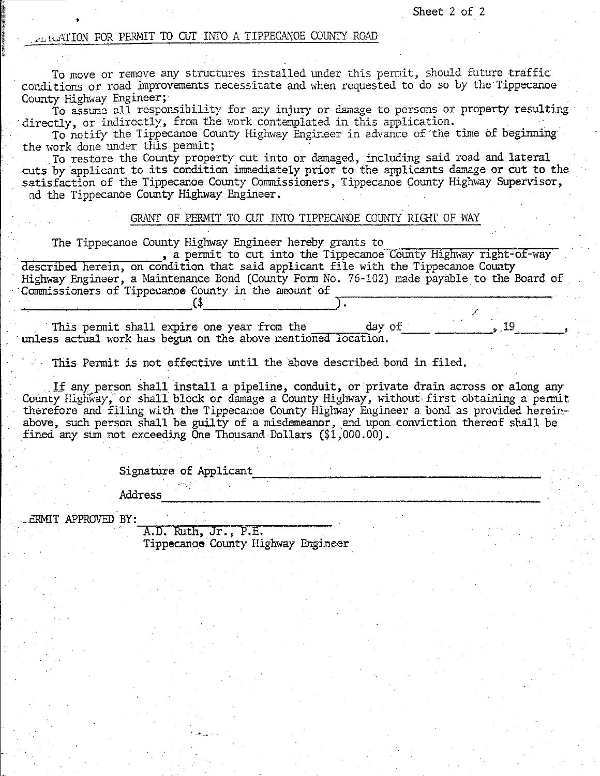/

#### ..:LLLATION FOR PERMIT TO cur H.ffO A TIPPECANOE COill<TI ROAD

To move or remove any structures installed under this permit, should future traffic conditions or road improvements necessitate and when requested to do so by the Tippecanoe County Highway Engineer;

To assume all responsibility for any injury or damage to persons or property resulting directly, or indirectly, from the work contemplated in this application.

To notify the Tippecanoe County Highway Engineer in advance of the time of beginning the work done under this permit;

the work done tmder: this peilllit; . To restore the County property cut into or damaged, including said road and lateral . cuts by.applicant to its condition immediately prior to the applicants damage or cut to the satisfaction of the Tippecanoe County Commissioners, Tippecanoe County Highway Supervisor, nd the Tippecanoe County Highway Engineer.

#### GRANT OF PERMIT TO CUT INTO TIPPECANOE COUNTY RIGHT OF WAY

The Tippecanoe County Highway Engineer hereby grants to

, a permit to cut into the Tippecanoe County Highway right-of-way described herein, on condition that said applicant file with the Tippecanoe County Highway Engineer, a Maintenance Bond (County Form No. 76-102) made payable to the Board of Commissioners of Tippecanoe County in the amount of

This permit shall expire one year from the day of  $\sim$   $\frac{19}{1}$ unless actual work has begun on the above mentioned location.

This Permit is not effective until the above described bond in filed.

If any person shall install a pipeline, conduit, or private drain across or along any County Highway, or shall block or damage a County Highway, without first obtaining a permit therefore and filing with the Tippecanoe County Highway Engineer a bond as provided hereinabove, such person shall be guilty of a misdemeanor, and upon conviction thereof shall be fined any sum not exceeding One Thousand Dollars  $(\$1,000.00)$ .

Signature of Applicant

. -·

Address ----------~~------~--~---~~

\_ ERMIT APPROVED BY:

Ii **l** de Allier : Resea »

A.D. Ruth, Jr., P.E. Tippecanoe County Highway Engineer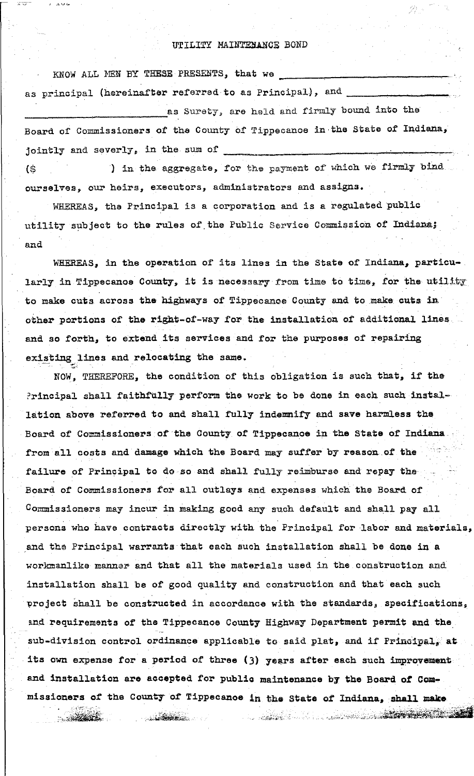#### UTILITY MAINTENANCE BOND

KNOW ALL MEN BY THESE PRESENTS, that we as principal (hereinafter referred to as Principal), and as Surety, are held and firmly bound into the Board of Commissioners of the County of Tippecanoe in the State of Indiana, jointly and severly, in the sum of ) in the aggregate, for the payment of which we firmly bind  $\left( \frac{1}{2} \right)$ 

ourselves, our heirs, executors, administrators and assigns.

WHEREAS, the Principal is a corporation and is a regulated public utility subject to the rules of the Public Service Commission of Indiana; and

WHEREAS, in the operation of its lines in the State of Indiana, particu-. larly in Tippecanos County, it is necessary from time to time, for the utility to make cuts across the highways of Tippecanoe County and to make cuts in other portions of the right-of-way for the installation of additional lines and so forth, to extend its services and for the purposes of repairing existing lines and relocating the same.

NOW, THEREFORE, the condition of this obligation is such that, if the Principal shall faithfully perform the work to be done in each such installation above referred to and shall fully indemnify and save harmless the Board of Commissioners of the County of Tippecanoe in the State of Indiana from all costs and damage which the Board may suffer by reason of the failure of Principal to do so and shall fully reimburse and repay the Board of Commissioners for all outlays and expenses which the Board of Commissioners may incur in making good any such default and shall pay all persons who have contracts directly with the Principal for labor and materials, and the Principal warrants that each such installation shall be done in a workmanlike manner and that all the materials used in the construction and installation shall be of good quality and construction and that each such project shall be constructed in accordance with the standards, specifications, and requirements of the Tippecanoe County Highway Department permit and the sub-division control ordinance applicable to said plat, and if Principal, at its own expense for a period of three (3) years after each such improvement and installation are accepted for public maintenance by the Board of Commissioners of the County of Tippecanoe in the State of Indiana, shall make

**CONTRACTOR** 

**CONTRACTOR**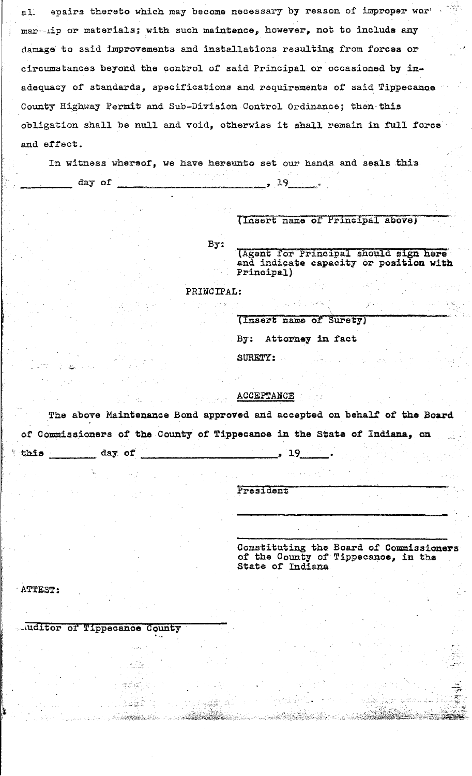epairs thereto which may become necessary by reason of improper wor'  $a1.$ mar-ilp or materials; with such maintence, however, not to include any damage to said improvements and installations resulting from forces or circumstances beyond the control of said Principal or occasioned by inadequacy of standards, specifications and requirements of said Tippecanoe County Highway Permit and Sub-Division Control Ordinance; then this obligation shall be null and void, otherwiss it shall remain in full force and effect.

In witness whereof, we have hereunto set our hands and seals this day of  $\overline{\phantom{0}}$ , 19

(Insert name of Principal above)

(Agent for Principal should sign here and indicate capacity or position with Principal)

PRINCIPAL:

By:

(Insert name of Surety) By: Attorney in fact SURETY:

19

ACCEPTANCE

The above Maintenance Bond approved and accepted on behalf of the Board of Commissioners of the County of Tippecanoe in the State of Indiana, on

President

Constituting the Board of Commissioners<br>of the County of Tippecanoe, in the State of Indiana

ang pagkatan sa nang kabupat

ATTEST:

this.

day of

Auditor of Tippecanoe County

法受除

and a series

2.名牌者

ANG KABUPATÈN SA

**CONTRACTOR**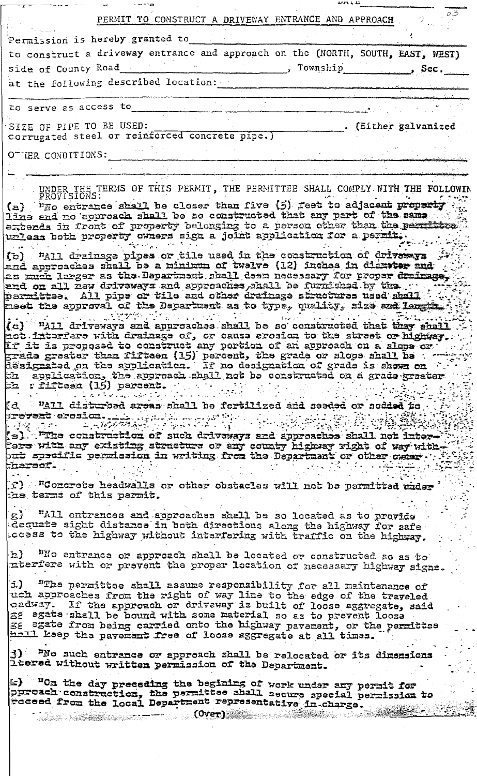|                                                                                                                                      | PERMIT TO CONSTRUCT A DRIVEWAY ENTRANCE AND APPROACH                                                                                                                                                                                                                                                                                                                                                                                                                                                                                                                                                                                                                                                                                                                                                                        |                     |                 |                      | $\varphi\overline{3}$ |
|--------------------------------------------------------------------------------------------------------------------------------------|-----------------------------------------------------------------------------------------------------------------------------------------------------------------------------------------------------------------------------------------------------------------------------------------------------------------------------------------------------------------------------------------------------------------------------------------------------------------------------------------------------------------------------------------------------------------------------------------------------------------------------------------------------------------------------------------------------------------------------------------------------------------------------------------------------------------------------|---------------------|-----------------|----------------------|-----------------------|
|                                                                                                                                      | Permission is hereby granted to                                                                                                                                                                                                                                                                                                                                                                                                                                                                                                                                                                                                                                                                                                                                                                                             |                     |                 |                      |                       |
|                                                                                                                                      | to construct a driveway entrance and approach on the (NORTH, SOUTH, EAST, WEST)                                                                                                                                                                                                                                                                                                                                                                                                                                                                                                                                                                                                                                                                                                                                             |                     |                 |                      |                       |
| side of County Road                                                                                                                  |                                                                                                                                                                                                                                                                                                                                                                                                                                                                                                                                                                                                                                                                                                                                                                                                                             |                     | , Township Sec. |                      |                       |
|                                                                                                                                      | at the following described location:                                                                                                                                                                                                                                                                                                                                                                                                                                                                                                                                                                                                                                                                                                                                                                                        |                     |                 |                      |                       |
|                                                                                                                                      |                                                                                                                                                                                                                                                                                                                                                                                                                                                                                                                                                                                                                                                                                                                                                                                                                             |                     |                 |                      |                       |
| to serve as access to                                                                                                                |                                                                                                                                                                                                                                                                                                                                                                                                                                                                                                                                                                                                                                                                                                                                                                                                                             |                     |                 |                      |                       |
| SIZE OF PIPE TO BE USED:                                                                                                             | corrugated steel or reinforced concrete pipe.)                                                                                                                                                                                                                                                                                                                                                                                                                                                                                                                                                                                                                                                                                                                                                                              |                     |                 | . (Either galvanized |                       |
| OTHER CONDITIONS:                                                                                                                    |                                                                                                                                                                                                                                                                                                                                                                                                                                                                                                                                                                                                                                                                                                                                                                                                                             |                     |                 |                      |                       |
|                                                                                                                                      |                                                                                                                                                                                                                                                                                                                                                                                                                                                                                                                                                                                                                                                                                                                                                                                                                             |                     |                 |                      |                       |
|                                                                                                                                      | UNDER THE TERMS OF THIS PERMIT, THE PERMITTEE SHALL COMPLY WITH THE FOLLOWING PROVISIONS:<br>(a) Who entrance shall be closer than five (5) feet to adjacant property<br>smes and no dusy pas that be fourtructed that approximate of the same.<br>extends in front of property belonging to a person other than the permittes<br>where a tor moldsollogs dito a ngla a seeme voren give a permit.                                                                                                                                                                                                                                                                                                                                                                                                                          |                     |                 |                      |                       |
|                                                                                                                                      | (b) "All drainage pipes or tile used in the construction of drives are<br>hus wedensib ni acdoni (12) evfewt to municiu a ed fissis acdoscouse ins<br>the feart form to the cesses areal deal deeminaged as the case found as<br>. and yd henafrun ed LLana, senbacungs bns syswevith wen LLs no bns<br>parmittee. All pipe or tile and other drainage structures used shall<br>meet the approval of the Department as to type, quality, size and Length.                                                                                                                                                                                                                                                                                                                                                                   |                     |                 |                      |                       |
| 32 I<br>th riffteen (15) percent.                                                                                                    | (c) <sup>w</sup> "All driveways and approaches shall be so constructed that they shall<br>not interfere with drainage of, or cause erosion to the street or highway.<br>If it is proposed to construct any portion of an approach on a slope or<br>grada graater than fifteen (15) percent, the grade or slope shall be<br>issignated on the application. If no designation of grade is shown on<br>epplication, the approach shall not be constructed on a grade greater                                                                                                                                                                                                                                                                                                                                                   |                     |                 |                      |                       |
| p <del>rovent</del> erosion.<br>$\mathcal{L} = \sum_{i=1}^n \mathcal{L}(\mathbf{x}_i) \mathcal{L}(\mathbf{x}_i)$<br><i>f</i> haraor. | (d) WAII disturbed areas shall be fertilized and seeded or sodded to<br>$\lim_{\varepsilon \to 0} \sup_{\varepsilon \to 0} \int_{\mathbb{R}^d} \int_{\mathbb{R}^d} \left\langle \nabla \cdot \nabla \cdot \nabla \cdot \nabla \cdot \nabla \cdot \nabla \cdot \nabla \cdot \nabla \cdot \nabla \cdot \nabla \cdot \nabla \cdot \nabla \cdot \nabla \cdot \nabla \cdot \nabla \cdot \nabla \cdot \nabla \cdot \nabla \cdot \nabla \cdot \nabla \cdot \nabla \cdot \nabla \cdot \nabla \cdot \nabla \cdot \nabla \cdot \nabla \cdot \nabla \cdot \nabla \cdot$<br>$\epsilon$ , which the sedesection of the system is the form that the still $\epsilon$ , $\epsilon$<br>Pers with any existing structure or any county highway right of way with -<br>out specific permission in writing from the Department or other owner. |                     |                 |                      |                       |
| the terms of this permit.                                                                                                            | Test betthreq ed tod HIR aslostacles who to affectbeed eteromout (T)                                                                                                                                                                                                                                                                                                                                                                                                                                                                                                                                                                                                                                                                                                                                                        |                     |                 |                      |                       |
|                                                                                                                                      | g) "All entrances and approaches shall be so located as to provide<br>dequate sight distance in both directions along the highway for safe<br>ceass to the highway without interfering with traffic on the highway.                                                                                                                                                                                                                                                                                                                                                                                                                                                                                                                                                                                                         |                     |                 |                      |                       |
|                                                                                                                                      | h) Wo entrance or approach shall be located or constructed so as to<br>nterfere with or prevent the proper location of necessary highway signs.                                                                                                                                                                                                                                                                                                                                                                                                                                                                                                                                                                                                                                                                             |                     |                 |                      |                       |
|                                                                                                                                      | 1) "The permittee shall assume responsibility for all maintenance of<br>uch approaches from the right of way line to the edge of the travaled<br>oadway. If the approach or driveway is built of loose aggregate, said<br>32 esate shall be bound with some material so as to prevent loose<br>38 E32te from being carried onto the highway pavement, or the permittee<br>hall keep the pavement free of loose aggregate at all times.                                                                                                                                                                                                                                                                                                                                                                                      |                     |                 |                      |                       |
|                                                                                                                                      | [j] Mo such entrance or approach shall be relocated or its dimensions<br>litered without written permission of the Department.                                                                                                                                                                                                                                                                                                                                                                                                                                                                                                                                                                                                                                                                                              |                     |                 |                      |                       |
|                                                                                                                                      | E) "On the day preceding the begining of work under any permit for<br>pprozek construction, the permittee shall secure special permission to<br>Foceed from the local Department representative in charge.                                                                                                                                                                                                                                                                                                                                                                                                                                                                                                                                                                                                                  | $(Cover)$ $(Cover)$ |                 |                      |                       |
|                                                                                                                                      |                                                                                                                                                                                                                                                                                                                                                                                                                                                                                                                                                                                                                                                                                                                                                                                                                             |                     |                 |                      |                       |

 $\frac{1}{2}$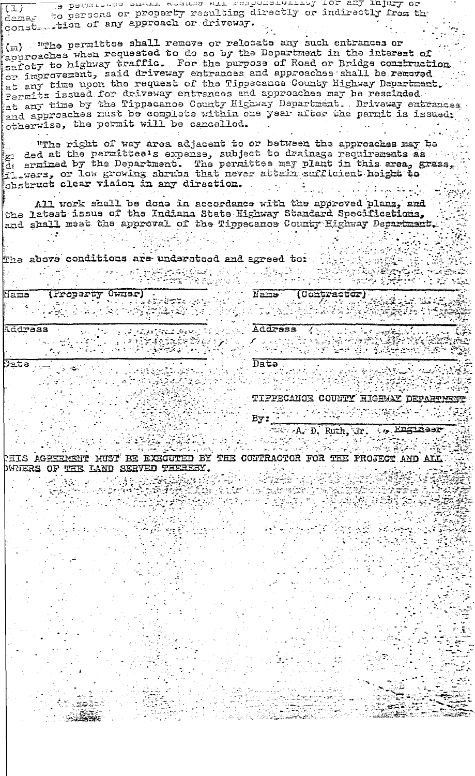Te beturnees every commo arr readorathyring you and will be  $(1)$ to persons or property resulting directly or indirectly from the dama, " constantion of any approach or driveway.

(m) "The permittee shall remove or relocate any such entrances or approaches when requested to do so by the Department in the interest of safety to highway traffic. For the purpose of Road or Bridge construction at any time upon the request of the Tippecanoa County Highway Department, Permits issued for driveway entrances and approaches may be rescinded<br>at any time by the Tippecanoe County Highway Department. Driveway entrances otherwise, the permit will be cancelled.

"The right of way area adjacent to or between the approaches may be  $\epsilon_{\rm G}$  ded at the permittee's expense, subject to drainage requirements as de ermined by the Department. The permittee may plant in this area, grass, flewers, or low growing shrubs that never attain sufficient height to obstruct clear vision in any direction. رمايع فمريضه ومراجي

All work shall be done in accordance with the approved plans, and the latest issue of the Indiana State Highway Standard Specifications, and shall meet the approval of the Tippecanos County Highway Department.

tof beergs bus boofsrebar are anoifibaco evods ent

| (Property Owner)<br>ians):                                 | Nams<br>(Contractor)                        |
|------------------------------------------------------------|---------------------------------------------|
| Ecorps                                                     | Address                                     |
| Jata                                                       | Date<br>TIPPECANOS COUNTY HIGHAY DEPARTMENT |
|                                                            | By:<br>Ruth, Jr.<br>:, Enginaar             |
| TKZMEENENT ZIE:<br>THE<br>BE EXECUTED<br><b>HUST</b><br>ВY | CONTRACTOR FOR THE PROJECT AND ALL          |

DWNERS OF THE LAND SERVED THEREBY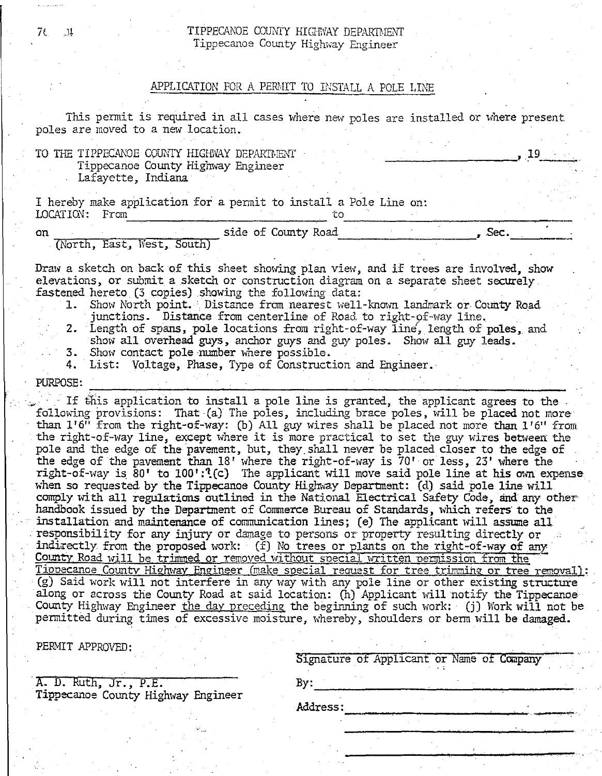### 76. J. J. TIPPECANOE COUNTY HIGHWAY DEPARTMENT Tippecanoe County Highway Engineer

## APPLICATION FOR A PERMIT TO INSTALL A POLE LINE

This permit is required in all cases where new poles are installed or where present poles are moved to a new location.

|  | DOTES STE MOVED TO & HEM TOCALION.                       |  |  |  |  |  |
|--|----------------------------------------------------------|--|--|--|--|--|
|  | TO THE TIPPECANOE COUNTY HIGHWAY DEPARTMENT              |  |  |  |  |  |
|  | Tippecanoe County Highway Engineer<br>Lafavette, Indiana |  |  |  |  |  |

I hereby make application for a permit to install a Pole Line on:  $\overline{\phantom{a}}$  to . From to . The set of  $\overline{\phantom{a}}$ ~~~----~-~----~-~ on side of County Road Sec. (North, East, West, South)  $\overline{S}$ 

Draw a sketch on back of this sheet showing plan view, and if trees are involved, show elevations, or submit a sketch or construction diagram on a separate sheet securely. fastened hereto. (3 copies) showing the following data:

- 1. Show North point. Distance from nearest well-known landmark or County Road junctions. Distance from centerline of Road to right-of-way line.
- 2. Length of spans, pole locations from right-of-way line', length of poles, and show all overhead guys, anchor guys and guy poles. Show all guy leads.
- 3. Show contact pole number where possible.
- 4. List: Voltage, Phase, Type of Construction and Engineer.

PURPOSE:<br>*If this application to install a pole line is granted, the applicant agrees to the* following provisions: That (a) The poles, including brace poles, will be placed not more than  $1'6''$  from the right-of-way: (b) All guy wires shall be placed not more than  $1'6''$  from the right-of-way line, except where it is more practical to set the guy wires between the pole and the edge of the pavement, but, they.shall never be placed closer to the edge of the edge of the pavement than 18' where the right-of-way is 70' or less, 23' where the right-of-way is 80' to 100':'(c) The applicant will move said pole line at his own expense when so requested by the Tippecanoe County Highway Department: (d) said pole line will comply with all regulations outlined in the National Electrical Safety Code, and any other handbook issued by the Department of Commerce Bureau of Standards, which refers to the installation and maintenance of communication lines; (e) The applicant will assume all responsibility for any injury or damage to persons or property resulting directly or indirectly from the proposed work:  $(f)$  No trees or plants on the right-of-way of any County Road will be trimmed or removed without special written permission from the Tippecanoe County Highway Engineer (make special request for tree trimming or tree removal): (g) Said work will not interfere in any way with any pole line or other existing structure along or across the County Road at said location: (h) Applicant will notify the Tippecanoe County Highway Engineer the day preceding the beginning of such work: (j) Work will not be permitted during times of excessive moisture, whereby, shoulders or berm will be damaged.

PERMIT APPROVED:

| Signature of Applicant or Name of Company |  |  |  |
|-------------------------------------------|--|--|--|
|                                           |  |  |  |

A. D. Ruth, Jr., P.E.<br>Tippecanoe County Highway Engineer Signature of Applicant or Name of Company<br>
A. D. Ruth, Jr., P.E.<br>
Tippecanoe County Highway Engineer

Address: